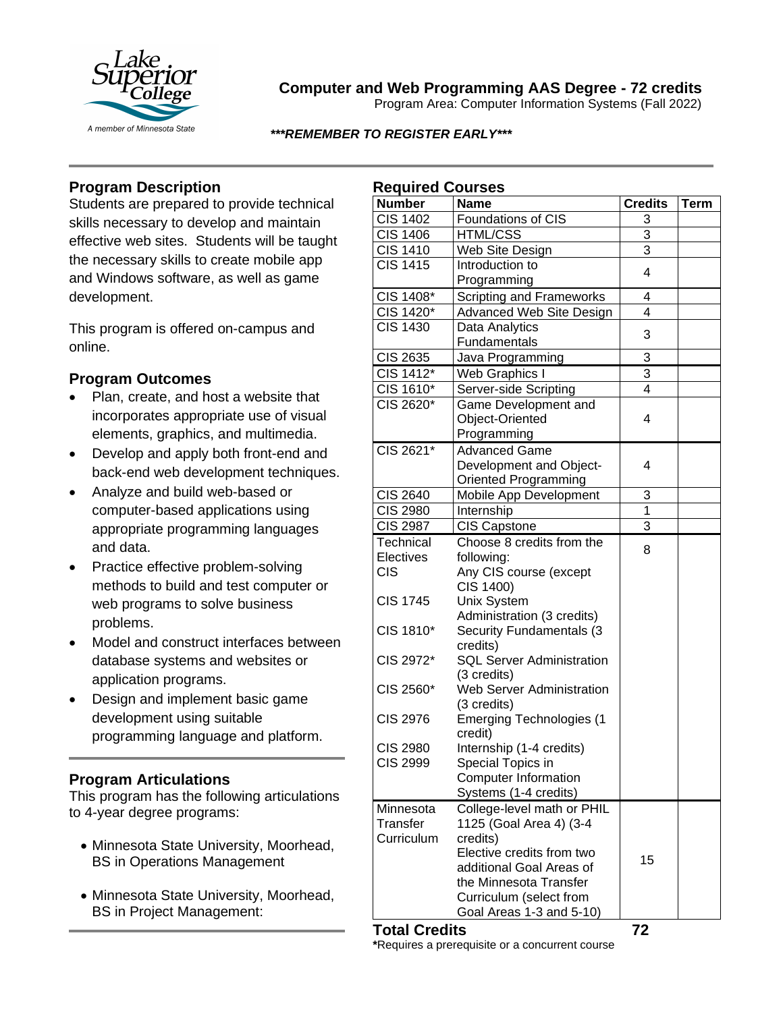

# **Computer and Web Programming AAS Degree - 72 credits**

Program Area: Computer Information Systems (Fall 2022)

*\*\*\*REMEMBER TO REGISTER EARLY\*\*\**

# **Program Description**

Students are prepared to provide technical skills necessary to develop and maintain effective web sites. Students will be taught the necessary skills to create mobile app and Windows software, as well as game development.

This program is offered on-campus and online.

### **Program Outcomes**

- Plan, create, and host a website that incorporates appropriate use of visual elements, graphics, and multimedia.
- Develop and apply both front-end and back-end web development techniques.
- Analyze and build web-based or computer-based applications using appropriate programming languages and data.
- Practice effective problem-solving methods to build and test computer or web programs to solve business problems.
- Model and construct interfaces between database systems and websites or application programs.
- Design and implement basic game development using suitable programming language and platform.

## **Program Articulations**

This program has the following articulations to 4-year degree programs:

- Minnesota State University, Moorhead, BS in Operations Management
- Minnesota State University, Moorhead, BS in Project Management:

| <b>Required Courses</b> |                                                       |                |      |
|-------------------------|-------------------------------------------------------|----------------|------|
| <b>Number</b>           | <b>Name</b>                                           | <b>Credits</b> | Term |
| <b>CIS 1402</b>         | Foundations of CIS                                    | 3              |      |
| <b>CIS 1406</b>         | <b>HTML/CSS</b>                                       | 3              |      |
| <b>CIS 1410</b>         | Web Site Design                                       | $\overline{3}$ |      |
| <b>CIS 1415</b>         | Introduction to                                       | 4              |      |
|                         | Programming                                           |                |      |
| CIS 1408*               | <b>Scripting and Frameworks</b>                       | 4              |      |
| CIS 1420*               | Advanced Web Site Design                              | 4              |      |
| <b>CIS 1430</b>         | Data Analytics                                        | 3              |      |
|                         | Fundamentals                                          |                |      |
| <b>CIS 2635</b>         | Java Programming                                      | 3              |      |
| CIS 1412*               | <b>Web Graphics I</b>                                 | 3              |      |
| CIS 1610*               | Server-side Scripting                                 | 4              |      |
| CIS 2620*               | Game Development and                                  |                |      |
|                         | Object-Oriented                                       | 4              |      |
|                         | Programming                                           |                |      |
| CIS 2621*               | <b>Advanced Game</b>                                  |                |      |
|                         | Development and Object-                               | 4              |      |
|                         | Oriented Programming                                  |                |      |
| CIS 2640                | Mobile App Development                                | 3              |      |
| <b>CIS 2980</b>         | Internship                                            | $\overline{1}$ |      |
| <b>CIS 2987</b>         | <b>CIS Capstone</b>                                   | $\overline{3}$ |      |
| Technical               | Choose 8 credits from the                             | 8              |      |
| Electives               | following:                                            |                |      |
| <b>CIS</b>              | Any CIS course (except                                |                |      |
| <b>CIS 1745</b>         | CIS 1400)                                             |                |      |
|                         | <b>Unix System</b><br>Administration (3 credits)      |                |      |
| CIS 1810*               | Security Fundamentals (3                              |                |      |
|                         | credits)                                              |                |      |
| CIS 2972*               | <b>SQL Server Administration</b>                      |                |      |
|                         | (3 credits)                                           |                |      |
| CIS 2560*               | <b>Web Server Administration</b>                      |                |      |
|                         | (3 credits)                                           |                |      |
| <b>CIS 2976</b>         | <b>Emerging Technologies (1</b>                       |                |      |
|                         | credit)                                               |                |      |
| <b>CIS 2980</b>         | Internship (1-4 credits)                              |                |      |
| <b>CIS 2999</b>         | Special Topics in                                     |                |      |
|                         | <b>Computer Information</b>                           |                |      |
|                         | Systems (1-4 credits)                                 |                |      |
| Minnesota               | College-level math or PHIL                            |                |      |
| Transfer                | 1125 (Goal Area 4) (3-4                               |                |      |
| Curriculum              | credits)                                              |                |      |
|                         | Elective credits from two<br>additional Goal Areas of | 15             |      |
|                         | the Minnesota Transfer                                |                |      |
|                         | Curriculum (select from                               |                |      |
|                         | Goal Areas 1-3 and 5-10)                              |                |      |
|                         |                                                       |                |      |

**Total Credits 72 \***Requires a prerequisite or a concurrent course